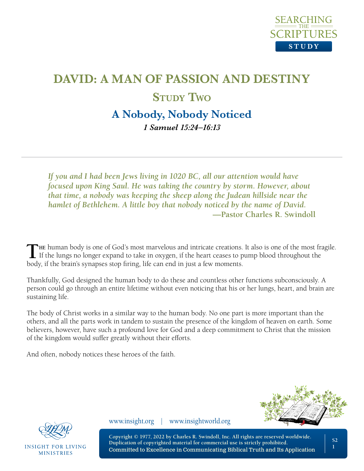

# **DAVID: A MAN OF PASSION AND DESTINY Study Two A Nobody, Nobody Noticed**

*1 Samuel 15:24–16:13*

*If you and I had been Jews living in 1020 BC, all our attention would have focused upon King Saul. He was taking the country by storm. However, about that time, a nobody was keeping the sheep along the Judean hillside near the hamlet of Bethlehem. A little boy that nobody noticed by the name of David.* **—Pastor Charles R. Swindoll**

The human body is one of God's most marvelous and intricate creations. It also is one of the most fragile.<br>If the lungs no longer expand to take in oxygen, if the heart ceases to pump blood throughout the body, if the brain's synapses stop firing, life can end in just a few moments.

Thankfully, God designed the human body to do these and countless other functions subconsciously. A person could go through an entire lifetime without even noticing that his or her lungs, heart, and brain are sustaining life.

The body of Christ works in a similar way to the human body. No one part is more important than the others, and all the parts work in tandem to sustain the presence of the kingdom of heaven on earth. Some believers, however, have such a profound love for God and a deep commitment to Christ that the mission of the kingdom would suffer greatly without their efforts.

And often, nobody notices these heroes of the faith.





**INSIGHT FOR LIVING MINISTRIES** 

www.insight.org | www.insightworld.org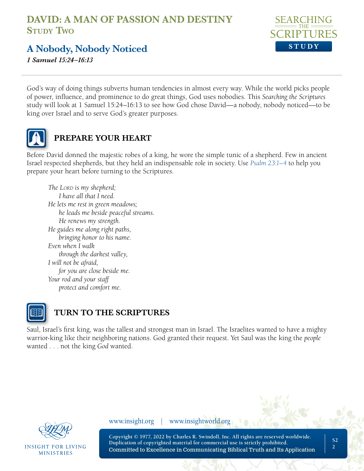

**A Nobody, Nobody Noticed**

*1 Samuel 15:24–16:13*

God's way of doing things subverts human tendencies in almost every way. While the world picks people of power, influence, and prominence to do great things, God uses nobodies. This *Searching the Scriptures* study will look at 1 Samuel 15:24–16:13 to see how God chose David—a nobody, nobody noticed—to be king over Israel and to serve God's greater purposes.



#### **PREPARE YOUR HEART**

Before David donned the majestic robes of a king, he wore the simple tunic of a shepherd. Few in ancient Israel respected shepherds, but they held an indispensable role in society. Use *[Psalm 23:1–4](https://www.biblegateway.com/passage/?search=psalm+23&version=NLT;NASB1995)* to help you prepare your heart before turning to the Scriptures.

*The LORD* is my shepherd; *I have all that I need. He lets me rest in green meadows; he leads me beside peaceful streams. He renews my strength. He guides me along right paths, bringing honor to his name. Even when I walk through the darkest valley, I will not be afraid, for you are close beside me. Your rod and your staff protect and comfort me.*



#### **TURN TO THE SCRIPTURES**

Saul, Israel's first king, was the tallest and strongest man in Israel. The Israelites wanted to have a mighty warrior-king like their neighboring nations. God granted their request. Yet Saul was the king the *people* wanted . . . not the king *God* wanted.



INSIGHT FOR LIVING **MINISTRIES** 

www.insight.org | www.insightworld.org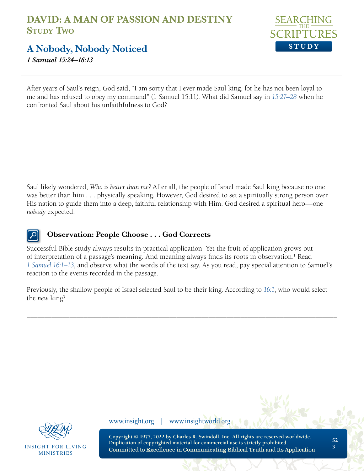

**A Nobody, Nobody Noticed**

*1 Samuel 15:24–16:13*

After years of Saul's reign, God said, "I am sorry that I ever made Saul king, for he has not been loyal to me and has refused to obey my command" (1 Samuel 15:11). What did Samuel say in *[15:27–28](https://www.biblegateway.com/passage/?search=1+Samuel+15%3A27%E2%80%9328&version=NLT;NASB1995)* when he confronted Saul about his unfaithfulness to God?

Saul likely wondered, *Who is better than me?* After all, the people of Israel made Saul king because no one was better than him . . . physically speaking. However, God desired to set a spiritually strong person over His nation to guide them into a deep, faithful relationship with Him. God desired a spiritual hero—one *nobody* expected.

#### **Observation: People Choose . . . God Corrects**

Successful Bible study always results in practical application. Yet the fruit of application grows out of interpretation of a passage's meaning. And meaning always finds its roots in observation.<sup>1</sup> Read *[1 Samuel 16:1–13](https://www.biblegateway.com/passage/?search=1+Samuel+16%3A1%E2%80%9313&version=NLT;NASB1995)*, and observe what the words of the text *say*. As you read, pay special attention to Samuel's reaction to the events recorded in the passage.

Previously, the shallow people of Israel selected Saul to be their king. According to *[16:1](https://www.biblegateway.com/passage/?search=1+Samuel+16%3A1&version=NLT;NASB1995)*, who would select the *new* king?

\_\_\_\_\_\_\_\_\_\_\_\_\_\_\_\_\_\_\_\_\_\_\_\_\_\_\_\_\_\_\_\_\_\_\_\_\_\_\_\_\_\_\_\_\_\_\_\_\_\_\_\_\_\_\_\_\_\_\_\_\_\_\_\_\_\_\_\_\_\_\_\_\_\_\_\_\_\_\_\_\_\_\_\_\_\_\_



INSIGHT FOR LIVING **MINISTRIES** 

www.insight.org | www.insightworld.org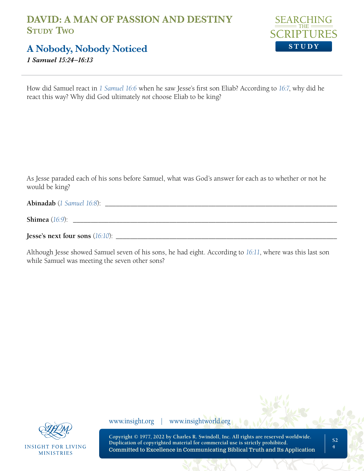

**A Nobody, Nobody Noticed**

*1 Samuel 15:24–16:13*

How did Samuel react in *[1 Samuel 16:6](https://www.biblegateway.com/passage/?search=1+Samuel+16%3A6&version=NLT;NASB1995)* when he saw Jesse's first son Eliab? According to *[16:7](https://www.biblegateway.com/passage/?search=1+Samuel+16%3A7&version=NLT;NASB1995)*, why did he react this way? Why did God ultimately *not* choose Eliab to be king?

As Jesse paraded each of his sons before Samuel, what was God's answer for each as to whether or not he would be king?

**Abinadab** (*[1 Samuel 16:8](https://www.biblegateway.com/passage/?search=1+Samuel+16%3A8&version=NLT;NASB1995)*): \_\_\_\_\_\_\_\_\_\_\_\_\_\_\_\_\_\_\_\_\_\_\_\_\_\_\_\_\_\_\_\_\_\_\_\_\_\_\_\_\_\_\_\_\_\_\_\_\_\_\_\_\_\_\_\_\_\_\_\_\_\_\_\_\_

| Shimea |  |
|--------|--|
|        |  |

**Jesse's next four sons** (*[16:10](https://www.biblegateway.com/passage/?search=1+Samuel+16%3A10&version=NLT;NASB1995)*): \_\_\_\_\_\_\_\_\_\_\_\_\_\_\_\_\_\_\_\_\_\_\_\_\_\_\_\_\_\_\_\_\_\_\_\_\_\_\_\_\_\_\_\_\_\_\_\_\_\_\_\_\_\_\_\_\_\_\_\_\_\_

Although Jesse showed Samuel seven of his sons, he had eight. According to *[16:11](https://www.biblegateway.com/passage/?search=1+Samuel+16%3A11&version=NLT;NASB1995)*, where was this last son while Samuel was meeting the seven other sons?



**INSIGHT FOR LIVING MINISTRIES** 

www.insight.org | www.insightworld.org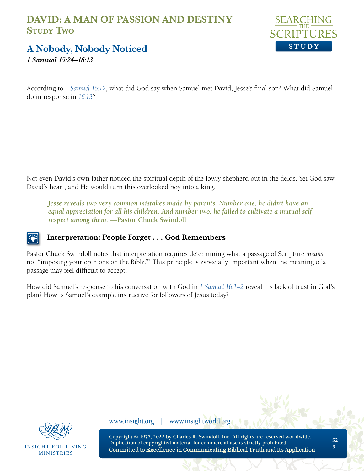

**A Nobody, Nobody Noticed**

*1 Samuel 15:24–16:13*

According to *[1 Samuel 16:12](https://www.biblegateway.com/passage/?search=1+Samuel+16%3A12&version=NLT;NASB1995)*, what did God say when Samuel met David, Jesse's final son? What did Samuel do in response in *[16:13](https://www.biblegateway.com/passage/?search=1+Samuel+16%3A13&version=NLT;NASB1995)*?

Not even David's own father noticed the spiritual depth of the lowly shepherd out in the fields. Yet God saw David's heart, and He would turn this overlooked boy into a king.

*Jesse reveals two very common mistakes made by parents. Number one, he didn't have an equal appreciation for all his children. And number two, he failed to cultivate a mutual selfrespect among them.* **—Pastor Chuck Swindoll**

#### **Interpretation: People Forget . . . God Remembers**

Pastor Chuck Swindoll notes that interpretation requires determining what a passage of Scripture *means*, not "imposing your opinions on the Bible."2 This principle is especially important when the meaning of a passage may feel difficult to accept.

How did Samuel's response to his conversation with God in *[1 Samuel 16:1–2](https://www.biblegateway.com/passage/?search=1+Samuel+16%3A1%E2%80%932&version=NLT;NASB1995)* reveal his lack of trust in God's plan? How is Samuel's example instructive for followers of Jesus today?



**INSIGHT FOR LIVING MINISTRIES** 

www.insight.org | www.insightworld.org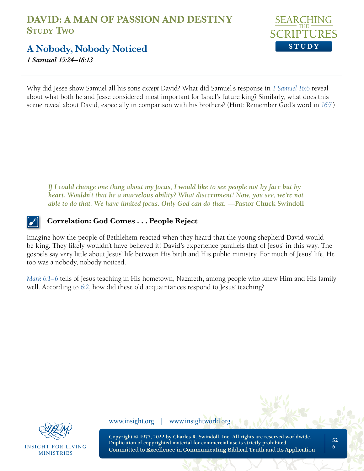

**A Nobody, Nobody Noticed**

*1 Samuel 15:24–16:13*

Why did Jesse show Samuel all his sons *except* David? What did Samuel's response in *[1 Samuel](https://www.biblegateway.com/passage/?search=1+Samuel+16%3A6&version=NLT;NASB1995) 16:6* reveal about what both he and Jesse considered most important for Israel's future king? Similarly, what does this scene reveal about David, especially in comparison with his brothers? (Hint: Remember God's word in *[16:7](https://www.biblegateway.com/passage/?search=1+Samuel+16%3A7&version=NLT;NASB1995)*.)

If I could change one thing about my focus, I would like to see people not by face but by *heart. Wouldn't that be a marvelous ability? What discernment! Now, you see, we're not able to do that. We have limited focus. Only God can do that.* —Pastor Chuck Swindoll

#### **Correlation: God Comes . . . People Reject**

Imagine how the people of Bethlehem reacted when they heard that the young shepherd David would be king. They likely wouldn't have believed it! David's experience parallels that of Jesus' in this way. The gospels say very little about Jesus' life between His birth and His public ministry. For much of Jesus' life, He too was a nobody, nobody noticed.

*[Mark 6:1–6](https://www.biblegateway.com/passage/?search=Mark+6%3A1%E2%80%936&version=NLT;NASB1995)* tells of Jesus teaching in His hometown, Nazareth, among people who knew Him and His family well. According to *[6:2](https://www.biblegateway.com/passage/?search=Mark+6%3A2&version=NLT;NASB1995)*, how did these old acquaintances respond to Jesus' teaching?



INSIGHT FOR LIVING **MINISTRIES** 

www.insight.org | www.insightworld.org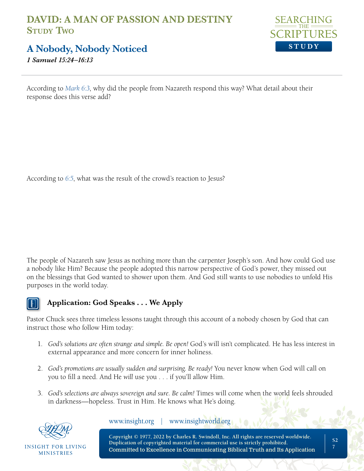

## **A Nobody, Nobody Noticed**

*1 Samuel 15:24–16:13*

According to *[Mark 6:3](https://www.biblegateway.com/passage/?search=Mark+6%3A3&version=NLT;NASB1995)*, why did the people from Nazareth respond this way? What detail about their response does this verse add?

According to *[6:5](https://www.biblegateway.com/passage/?search=Mark+6%3A5&version=NLT;NASB1995)*, what was the result of the crowd's reaction to Jesus?

The people of Nazareth saw Jesus as nothing more than the carpenter Joseph's son. And how could God use a nobody like Him? Because the people adopted this narrow perspective of God's power, they missed out on the blessings that God wanted to shower upon them. And God still wants to use nobodies to unfold His purposes in the world today.



#### **Application: God Speaks . . . We Apply**

Pastor Chuck sees three timeless lessons taught through this account of a nobody chosen by God that can instruct those who follow Him today:

- 1. *God's solutions are often strange and simple. Be open!* God's will isn't complicated. He has less interest in external appearance and more concern for inner holiness.
- 2. *God's promotions are usually sudden and surprising. Be ready!* You never know when God will call on you to fill a need. And He *will* use you . . . if you'll allow Him.
- 3. *God's selections are always sovereign and sure. Be calm!* Times will come when the world feels shrouded in darkness—hopeless. Trust in Him. He knows what He's doing.



INSIGHT FOR LIVING **MINISTRIES** 

www.insight.org | www.insightworld.org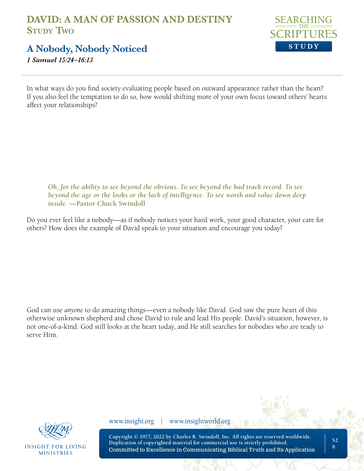

**A Nobody, Nobody Noticed**

*1 Samuel 15:24–16:13*

In what ways do you find society evaluating people based on outward appearance rather than the heart? If you also feel the temptation to do so, how would shifting more of your own focus toward others' hearts affect your relationships?

*Oh, for the ability to see beyond the obvious. To see beyond the bad track record. To see beyond the age or the looks or the lack of intelligence. To see worth and value down deep inside.* **—Pastor Chuck Swindoll** 

Do you ever feel like a nobody—as if nobody notices your hard work, your good character, your care for others? How does the example of David speak to your situation and encourage you today?

God can use *anyone* to do amazing things—even a nobody like David. God saw the pure heart of this otherwise unknown shepherd and chose David to rule and lead His people. David's situation, however, is not one-of-a-kind. God still looks at the heart today, and He still searches for nobodies who are ready to serve Him.



**INSIGHT FOR LIVING MINISTRIES** 

www.insight.org | www.insightworld.org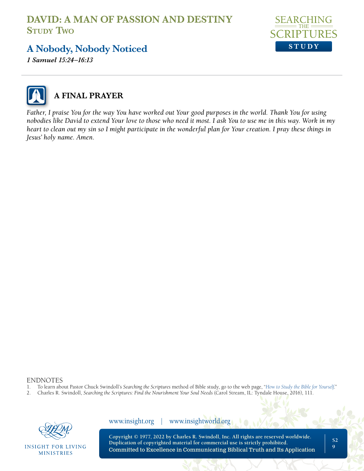

# **A Nobody, Nobody Noticed**

*1 Samuel 15:24–16:13*



# **A FINAL PRAYER**

*Father, I praise You for the way You have worked out Your good purposes in the world. Thank You for using nobodies like David to extend Your love to those who need it most. I ask You to use me in this way. Work in my heart to clean out my sin so I might participate in the wonderful plan for Your creation. I pray these things in Jesus' holy name. Amen.*

## ENDNOTES<br>1 To learn abo

- 1. To learn about Pastor Chuck Swindoll's *Searching the Scriptures* method of Bible study, go to the web page, "*[How to Study the Bible for Yourself](https://sts.insight.org/)*."
- 2. Charles R. Swindoll, *Searching the Scriptures: Find the Nourishment Your Soul Needs* (Carol Stream, IL: Tyndale House, 2016), 111.



**INSIGHT FOR LIVING MINISTRIES** 

**Copyright © 1977, 2022 by Charles R. Swindoll, Inc. All rights are reserved worldwide. Duplication of copyrighted material for commercial use is strictly prohibited.** Committed to Excellence in Communicating Biblical Truth and Its Application www.insight.org | www.insightworld.org

**S2 9**